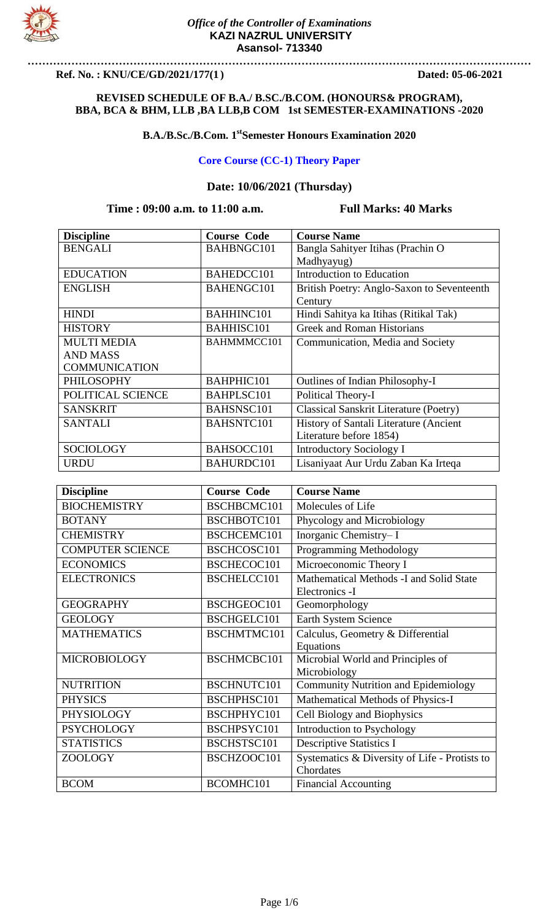

**…………………………………………………………………………………………………………………………**

### **Ref. No. : KNU/CE/GD/2021/177(1 ) Dated: 05-06-2021**

### **REVISED SCHEDULE OF B.A./ B.SC./B.COM. (HONOURS& PROGRAM), BBA, BCA & BHM, LLB ,BA LLB,B COM 1st SEMESTER-EXAMINATIONS -2020**

## **B.A./B.Sc./B.Com. 1 stSemester Honours Examination 2020**

### **Core Course (CC-1) Theory Paper**

### **Date: 10/06/2021 (Thursday)**

# **Time** : 09:00 a.m. to 11:00 a.m. **Full Marks: 40 Marks**

| <b>Discipline</b>    | <b>Course Code</b> | <b>Course Name</b>                            |
|----------------------|--------------------|-----------------------------------------------|
| <b>BENGALI</b>       | BAHBNGC101         | Bangla Sahityer Itihas (Prachin O             |
|                      |                    | Madhyayug)                                    |
| <b>EDUCATION</b>     | BAHEDCC101         | Introduction to Education                     |
| <b>ENGLISH</b>       | BAHENGC101         | British Poetry: Anglo-Saxon to Seventeenth    |
|                      |                    | Century                                       |
| <b>HINDI</b>         | <b>BAHHINC101</b>  | Hindi Sahitya ka Itihas (Ritikal Tak)         |
| <b>HISTORY</b>       | <b>BAHHISC101</b>  | <b>Greek and Roman Historians</b>             |
| <b>MULTI MEDIA</b>   | BAHMMMCC101        | Communication, Media and Society              |
| <b>AND MASS</b>      |                    |                                               |
| <b>COMMUNICATION</b> |                    |                                               |
| <b>PHILOSOPHY</b>    | BAHPHIC101         | Outlines of Indian Philosophy-I               |
| POLITICAL SCIENCE    | BAHPLSC101         | Political Theory-I                            |
| <b>SANSKRIT</b>      | BAHSNSC101         | <b>Classical Sanskrit Literature (Poetry)</b> |
| <b>SANTALI</b>       | BAHSNTC101         | History of Santali Literature (Ancient        |
|                      |                    | Literature before 1854)                       |
| <b>SOCIOLOGY</b>     | BAHSOCC101         | <b>Introductory Sociology I</b>               |
| <b>URDU</b>          | BAHURDC101         | Lisaniyaat Aur Urdu Zaban Ka Irteqa           |

| <b>Discipline</b>       | <b>Course Code</b> | <b>Course Name</b>                                        |
|-------------------------|--------------------|-----------------------------------------------------------|
| <b>BIOCHEMISTRY</b>     | BSCHBCMC101        | Molecules of Life                                         |
| <b>BOTANY</b>           | BSCHBOTC101        | Phycology and Microbiology                                |
| <b>CHEMISTRY</b>        | BSCHCEMC101        | Inorganic Chemistry-I                                     |
| <b>COMPUTER SCIENCE</b> | BSCHCOSC101        | Programming Methodology                                   |
| <b>ECONOMICS</b>        | BSCHECOC101        | Microeconomic Theory I                                    |
| <b>ELECTRONICS</b>      | BSCHELCC101        | Mathematical Methods -I and Solid State<br>Electronics -I |
| <b>GEOGRAPHY</b>        | BSCHGEOC101        | Geomorphology                                             |
| <b>GEOLOGY</b>          | BSCHGELC101        | Earth System Science                                      |
| <b>MATHEMATICS</b>      | <b>BSCHMTMC101</b> | Calculus, Geometry & Differential                         |
|                         |                    | Equations                                                 |
| <b>MICROBIOLOGY</b>     | <b>BSCHMCBC101</b> | Microbial World and Principles of                         |
|                         |                    | Microbiology                                              |
| <b>NUTRITION</b>        | BSCHNUTC101        | <b>Community Nutrition and Epidemiology</b>               |
| <b>PHYSICS</b>          | BSCHPHSC101        | Mathematical Methods of Physics-I                         |
| PHYSIOLOGY              | BSCHPHYC101        | Cell Biology and Biophysics                               |
| <b>PSYCHOLOGY</b>       | BSCHPSYC101        | Introduction to Psychology                                |
| <b>STATISTICS</b>       | BSCHSTSC101        | <b>Descriptive Statistics I</b>                           |
| <b>ZOOLOGY</b>          | BSCHZOOC101        | Systematics & Diversity of Life - Protists to             |
|                         |                    | Chordates                                                 |
| <b>BCOM</b>             | BCOMHC101          | <b>Financial Accounting</b>                               |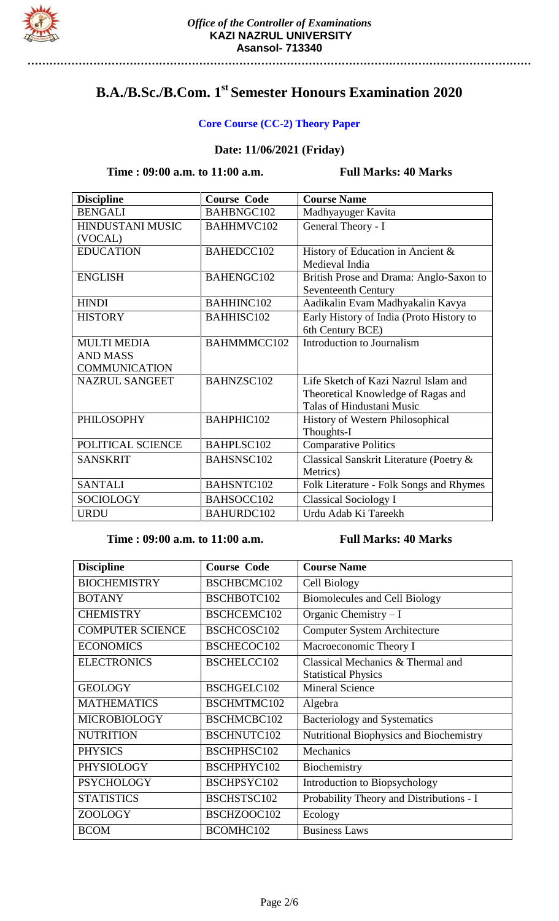

**…………………………………………………………………………………………………………………………**

# **B.A./B.Sc./B.Com. 1 st Semester Honours Examination 2020**

# **Core Course (CC-2) Theory Paper**

# **Date: 11/06/2021 (Friday)**

# **Time : 09:00 a.m. to 11:00 a.m. Full Marks: 40 Marks**

| <b>Discipline</b>     | <b>Course Code</b> | <b>Course Name</b>                       |
|-----------------------|--------------------|------------------------------------------|
| <b>BENGALI</b>        | BAHBNGC102         | Madhyayuger Kavita                       |
| HINDUSTANI MUSIC      | BAHHMVC102         | General Theory - I                       |
| (VOCAL)               |                    |                                          |
| <b>EDUCATION</b>      | BAHEDCC102         | History of Education in Ancient &        |
|                       |                    | Medieval India                           |
| <b>ENGLISH</b>        | BAHENGC102         | British Prose and Drama: Anglo-Saxon to  |
|                       |                    | Seventeenth Century                      |
| <b>HINDI</b>          | BAHHINC102         | Aadikalin Evam Madhyakalin Kavya         |
| <b>HISTORY</b>        | <b>BAHHISC102</b>  | Early History of India (Proto History to |
|                       |                    | 6th Century BCE)                         |
| <b>MULTI MEDIA</b>    | BAHMMMCC102        | Introduction to Journalism               |
| <b>AND MASS</b>       |                    |                                          |
| <b>COMMUNICATION</b>  |                    |                                          |
| <b>NAZRUL SANGEET</b> | BAHNZSC102         | Life Sketch of Kazi Nazrul Islam and     |
|                       |                    | Theoretical Knowledge of Ragas and       |
|                       |                    | Talas of Hindustani Music                |
| <b>PHILOSOPHY</b>     | BAHPHIC102         | History of Western Philosophical         |
|                       |                    | Thoughts-I                               |
| POLITICAL SCIENCE     | BAHPLSC102         | <b>Comparative Politics</b>              |
| <b>SANSKRIT</b>       | <b>BAHSNSC102</b>  | Classical Sanskrit Literature (Poetry &  |
|                       |                    | Metrics)                                 |
| <b>SANTALI</b>        | BAHSNTC102         | Folk Literature - Folk Songs and Rhymes  |
| <b>SOCIOLOGY</b>      | BAHSOCC102         | <b>Classical Sociology I</b>             |
| <b>URDU</b>           | BAHURDC102         | Urdu Adab Ki Tareekh                     |

## **Time : 09:00 a.m. to 11:00 a.m. Full Marks: 40 Marks**

| <b>Discipline</b>       | <b>Course Code</b> | <b>Course Name</b>                                              |
|-------------------------|--------------------|-----------------------------------------------------------------|
| <b>BIOCHEMISTRY</b>     | BSCHBCMC102        | Cell Biology                                                    |
| <b>BOTANY</b>           | BSCHBOTC102        | <b>Biomolecules and Cell Biology</b>                            |
| <b>CHEMISTRY</b>        | BSCHCEMC102        | Organic Chemistry $-I$                                          |
| <b>COMPUTER SCIENCE</b> | BSCHCOSC102        | <b>Computer System Architecture</b>                             |
| <b>ECONOMICS</b>        | BSCHECOC102        | Macroeconomic Theory I                                          |
| <b>ELECTRONICS</b>      | BSCHELCC102        | Classical Mechanics & Thermal and<br><b>Statistical Physics</b> |
| <b>GEOLOGY</b>          | BSCHGELC102        | <b>Mineral Science</b>                                          |
| <b>MATHEMATICS</b>      | <b>BSCHMTMC102</b> | Algebra                                                         |
| <b>MICROBIOLOGY</b>     | BSCHMCBC102        | Bacteriology and Systematics                                    |
| <b>NUTRITION</b>        | <b>BSCHNUTC102</b> | Nutritional Biophysics and Biochemistry                         |
| <b>PHYSICS</b>          | BSCHPHSC102        | Mechanics                                                       |
| <b>PHYSIOLOGY</b>       | BSCHPHYC102        | Biochemistry                                                    |
| <b>PSYCHOLOGY</b>       | BSCHPSYC102        | Introduction to Biopsychology                                   |
| <b>STATISTICS</b>       | BSCHSTSC102        | Probability Theory and Distributions - I                        |
| ZOOLOGY                 | BSCHZOOC102        | Ecology                                                         |
| <b>BCOM</b>             | BCOMHC102          | <b>Business Laws</b>                                            |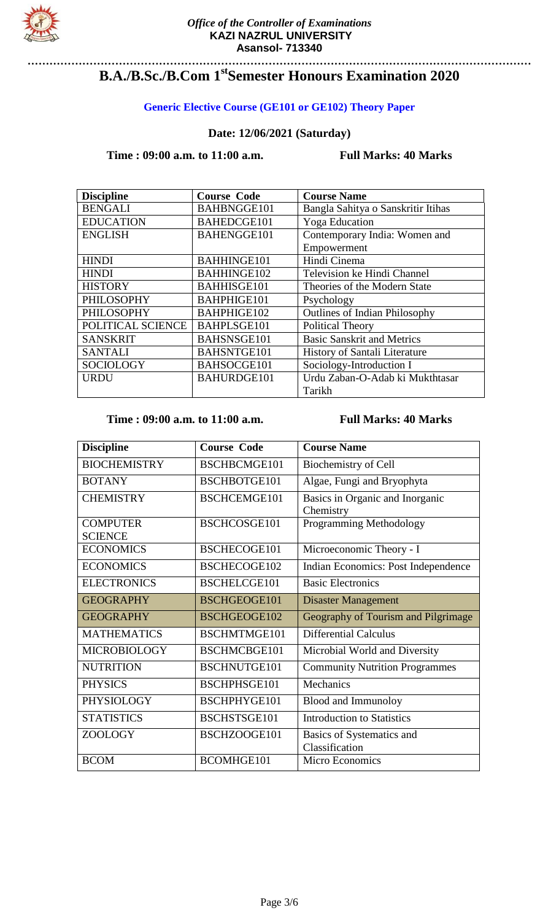

### *Office of the Controller of Examinations* **KAZI NAZRUL UNIVERSITY Asansol- 713340**

# **B.A./B.Sc./B.Com 1 stSemester Honours Examination 2020**

**…………………………………………………………………………………………………………………………**

# **Generic Elective Course (GE101 or GE102) Theory Paper**

# **Date: 12/06/2021 (Saturday)**

# **Time : 09:00 a.m. to 11:00 a.m. Full Marks: 40 Marks**

| <b>Discipline</b> | <b>Course Code</b> | <b>Course Name</b>                   |
|-------------------|--------------------|--------------------------------------|
| <b>BENGALI</b>    | BAHBNGGE101        | Bangla Sahitya o Sanskritir Itihas   |
| <b>EDUCATION</b>  | BAHEDCGE101        | <b>Yoga</b> Education                |
| <b>ENGLISH</b>    | <b>BAHENGGE101</b> | Contemporary India: Women and        |
|                   |                    | Empowerment                          |
| <b>HINDI</b>      | <b>BAHHINGE101</b> | Hindi Cinema                         |
| <b>HINDI</b>      | <b>BAHHINGE102</b> | Television ke Hindi Channel          |
| <b>HISTORY</b>    | <b>BAHHISGE101</b> | Theories of the Modern State         |
| <b>PHILOSOPHY</b> | BAHPHIGE101        | Psychology                           |
| <b>PHILOSOPHY</b> | BAHPHIGE102        | <b>Outlines of Indian Philosophy</b> |
| POLITICAL SCIENCE | BAHPLSGE101        | <b>Political Theory</b>              |
| <b>SANSKRIT</b>   | <b>BAHSNSGE101</b> | <b>Basic Sanskrit and Metrics</b>    |
| <b>SANTALI</b>    | BAHSNTGE101        | History of Santali Literature        |
| <b>SOCIOLOGY</b>  | BAHSOCGE101        | Sociology-Introduction I             |
| <b>URDU</b>       | BAHURDGE101        | Urdu Zaban-O-Adab ki Mukthtasar      |
|                   |                    | Tarikh                               |

# **Time : 09:00 a.m. to 11:00 a.m. Full Marks: 40 Marks**

| <b>Discipline</b>                 | <b>Course Code</b>  | <b>Course Name</b>                           |
|-----------------------------------|---------------------|----------------------------------------------|
| <b>BIOCHEMISTRY</b>               | <b>BSCHBCMGE101</b> | <b>Biochemistry of Cell</b>                  |
| <b>BOTANY</b>                     | <b>BSCHBOTGE101</b> | Algae, Fungi and Bryophyta                   |
| <b>CHEMISTRY</b>                  | <b>BSCHCEMGE101</b> | Basics in Organic and Inorganic<br>Chemistry |
| <b>COMPUTER</b><br><b>SCIENCE</b> | BSCHCOSGE101        | Programming Methodology                      |
| <b>ECONOMICS</b>                  | BSCHECOGE101        | Microeconomic Theory - I                     |
| <b>ECONOMICS</b>                  | BSCHECOGE102        | Indian Economics: Post Independence          |
| <b>ELECTRONICS</b>                | <b>BSCHELCGE101</b> | <b>Basic Electronics</b>                     |
| <b>GEOGRAPHY</b>                  | BSCHGEOGE101        | <b>Disaster Management</b>                   |
| <b>GEOGRAPHY</b>                  | BSCHGEOGE102        | Geography of Tourism and Pilgrimage          |
| <b>MATHEMATICS</b>                | BSCHMTMGE101        | <b>Differential Calculus</b>                 |
| <b>MICROBIOLOGY</b>               | BSCHMCBGE101        | Microbial World and Diversity                |
| <b>NUTRITION</b>                  | <b>BSCHNUTGE101</b> | <b>Community Nutrition Programmes</b>        |
| <b>PHYSICS</b>                    | BSCHPHSGE101        | Mechanics                                    |
| PHYSIOLOGY                        | BSCHPHYGE101        | <b>Blood and Immunoloy</b>                   |
| <b>STATISTICS</b>                 | <b>BSCHSTSGE101</b> | <b>Introduction to Statistics</b>            |
| ZOOLOGY                           | BSCHZOOGE101        | Basics of Systematics and<br>Classification  |
| <b>BCOM</b>                       | BCOMHGE101          | <b>Micro Economics</b>                       |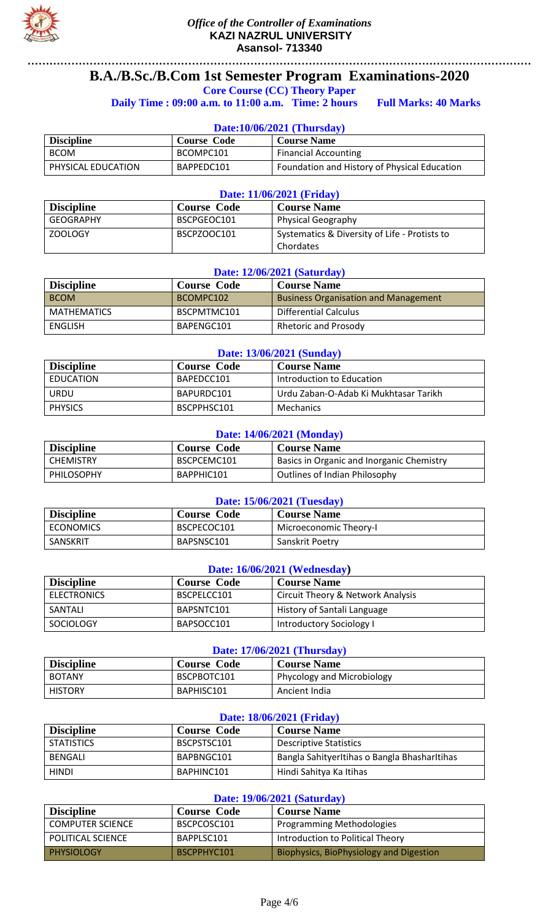

### *Office of the Controller of Examinations* **KAZI NAZRUL UNIVERSITY Asansol- 713340**

# **………………………………………………………………………………………………………………………… B.A./B.Sc./B.Com 1st Semester Program Examinations-2020**

**Core Course (CC) Theory Paper**

**Daily Time : 09:00 a.m. to 11:00 a.m. Time: 2 hours Full Marks: 40 Marks**

### **Date:10/06/2021 (Thursday)**

| <b>Discipline</b>  | <b>Course Code</b> | <b>Course Name</b>                           |
|--------------------|--------------------|----------------------------------------------|
| <b>BCOM</b>        | BCOMPC101          | <b>Financial Accounting</b>                  |
| PHYSICAL EDUCATION | BAPPEDC101         | Foundation and History of Physical Education |

### **Date: 11/06/2021 (Friday)**

| <b>Discipline</b> | <b>Course Code</b> | <b>Course Name</b>                            |
|-------------------|--------------------|-----------------------------------------------|
| GEOGRAPHY         | BSCPGEOC101        | <b>Physical Geography</b>                     |
| ZOOLOGY           | BSCPZOOC101        | Systematics & Diversity of Life - Protists to |
|                   |                    | Chordates                                     |

## **Date: 12/06/2021 (Saturday)**

| <b>Discipline</b> | <b>Course Code</b> | <b>Course Name</b>                          |
|-------------------|--------------------|---------------------------------------------|
| <b>BCOM</b>       | BCOMPC102          | <b>Business Organisation and Management</b> |
| MATHEMATICS       | BSCPMTMC101        | <b>Differential Calculus</b>                |
| ENGLISH           | BAPENGC101         | <b>Rhetoric and Prosody</b>                 |

| Date: 13/06/2021 (Sunday) |                    |                                       |  |
|---------------------------|--------------------|---------------------------------------|--|
| <b>Discipline</b>         | <b>Course Code</b> | <b>Course Name</b>                    |  |
| EDUCATION                 | BAPEDCC101         | Introduction to Education             |  |
| <b>URDU</b>               | BAPURDC101         | Urdu Zaban-O-Adab Ki Mukhtasar Tarikh |  |
| <b>PHYSICS</b>            | BSCPPHSC101        | Mechanics                             |  |

### **Date: 14/06/2021 (Monday)**

| <b>Discipline</b> | <b>Course Code</b> | <b>Course Name</b>                        |
|-------------------|--------------------|-------------------------------------------|
| <b>CHEMISTRY</b>  | BSCPCEMC101        | Basics in Organic and Inorganic Chemistry |
| PHILOSOPHY        | BAPPHIC101         | Outlines of Indian Philosophy             |

### **Date: 15/06/2021 (Tuesday)**

| <b>Discipline</b> | <b>Course Code</b> | <b>Course Name</b>     |
|-------------------|--------------------|------------------------|
| <b>ECONOMICS</b>  | BSCPECOC101        | Microeconomic Theory-l |
| SANSKRIT          | BAPSNSC101         | Sanskrit Poetry        |

## **Date: 16/06/2021 (Wednesday)**

| <b>Discipline</b>  | <b>Course Code</b> | <b>Course Name</b>                |
|--------------------|--------------------|-----------------------------------|
| <b>ELECTRONICS</b> | BSCPELCC101        | Circuit Theory & Network Analysis |
| SANTALI            | BAPSNTC101         | History of Santali Language       |
| SOCIOLOGY          | BAPSOCC101         | <b>Introductory Sociology I</b>   |

| <b>Date: 17/06/2021 (Thursday)</b>                            |             |                            |  |  |
|---------------------------------------------------------------|-------------|----------------------------|--|--|
| <b>Discipline</b><br><b>Course Code</b><br><b>Course Name</b> |             |                            |  |  |
| <b>BOTANY</b>                                                 | BSCPBOTC101 | Phycology and Microbiology |  |  |
| BAPHISC101<br>HISTORY<br>Ancient India                        |             |                            |  |  |

### **Date: 18/06/2021 (Friday)**

| <b>Discipline</b> | <b>Course Code</b> | <b>Course Name</b>                           |
|-------------------|--------------------|----------------------------------------------|
| <b>STATISTICS</b> | BSCPSTSC101        | <b>Descriptive Statistics</b>                |
| BENGALI           | BAPBNGC101         | Bangla SahityerItihas o Bangla BhasharItihas |
| <b>HINDI</b>      | BAPHINC101         | Hindi Sahitya Ka Itihas                      |

### **Date: 19/06/2021 (Saturday)**

| <b>Discipline</b>       | <b>Course Code</b> | <b>Course Name</b>                      |
|-------------------------|--------------------|-----------------------------------------|
| <b>COMPUTER SCIENCE</b> | BSCPCOSC101        | Programming Methodologies               |
| POLITICAL SCIENCE       | BAPPLSC101         | Introduction to Political Theory        |
| <b>PHYSIOLOGY</b>       | BSCPPHYC101        | Biophysics, BioPhysiology and Digestion |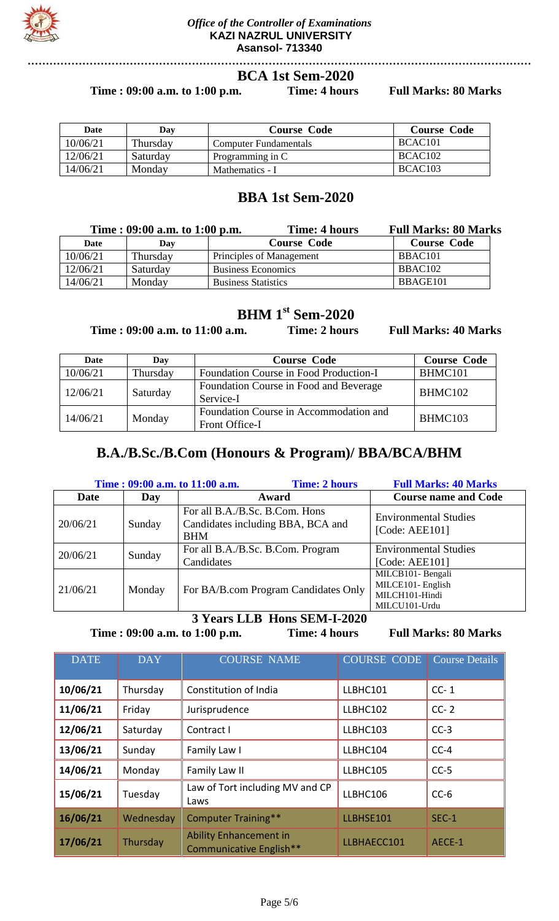

# **…………………………………………………………………………………………………………………………**

**BCA 1st Sem-2020**

**Time : 09:00 a.m. to 1:00 p.m. Time: 4 hours Full Marks: 80 Marks**

| Date     | Day      | <b>Course Code</b>    | <b>Course Code</b>  |
|----------|----------|-----------------------|---------------------|
| 10/06/21 | Thursday | Computer Fundamentals | BCAC <sub>101</sub> |
| 12/06/21 | Saturday | Programming in C      | BCAC <sub>102</sub> |
| 14/06/21 | Monday   | Mathematics - I       | BCAC <sub>103</sub> |

# **BBA 1st Sem-2020**

| Time: 09:00 a.m. to 1:00 p.m. |          | Time: 4 hours              | <b>Full Marks: 80 Marks</b> |
|-------------------------------|----------|----------------------------|-----------------------------|
| Date                          | Day      | <b>Course Code</b>         | <b>Course Code</b>          |
| 10/06/21                      | Thursday | Principles of Management   | BBAC101                     |
| 12/06/21                      | Saturday | <b>Business Economics</b>  | BBAC102                     |
| 14/06/21                      | Monday   | <b>Business Statistics</b> | BBAGE101                    |

# **BHM 1 st Sem-2020**

**Time : 09:00 a.m. to 11:00 a.m. Time: 2 hours Full Marks: 40 Marks**

| Date     | Day      | <b>Course Code</b>                                       | <b>Course Code</b> |
|----------|----------|----------------------------------------------------------|--------------------|
| 10/06/21 | Thursday | Foundation Course in Food Production-I                   | BHMC101            |
| 12/06/21 | Saturday | Foundation Course in Food and Beverage<br>Service-I      | BHMC102            |
| 14/06/21 | Monday   | Foundation Course in Accommodation and<br>Front Office-I | BHMC103            |

# **B.A./B.Sc./B.Com (Honours & Program)/ BBA/BCA/BHM**

| Time: 09:00 a.m. to 11:00 a.m. |        | <b>Time: 2 hours</b>                                                              | <b>Full Marks: 40 Marks</b>                                             |
|--------------------------------|--------|-----------------------------------------------------------------------------------|-------------------------------------------------------------------------|
| Date                           | Day    | Award                                                                             | <b>Course name and Code</b>                                             |
| 20/06/21                       | Sunday | For all B.A./B.Sc. B.Com. Hons<br>Candidates including BBA, BCA and<br><b>BHM</b> | <b>Environmental Studies</b><br>[Code: AEE101]                          |
| 20/06/21                       | Sunday | For all B.A./B.Sc. B.Com. Program<br>Candidates                                   | <b>Environmental Studies</b><br>[Code: AEE101]                          |
| 21/06/21                       | Monday | For BA/B.com Program Candidates Only                                              | MILCB101-Bengali<br>MILCE101-English<br>MILCH101-Hindi<br>MILCU101-Urdu |

**3 Years LLB Hons SEM-I-2020**

**Time : 09:00 a.m. to 1:00 p.m. Time: 4 hours Full Marks: 80 Marks**

| <b>DATE</b> | <b>DAY</b> | <b>COURSE NAME</b>                                | <b>COURSE CODE</b> | <b>Course Details</b> |
|-------------|------------|---------------------------------------------------|--------------------|-----------------------|
| 10/06/21    | Thursday   | Constitution of India                             | LLBHC101           | $CC-1$                |
| 11/06/21    | Friday     | Jurisprudence                                     | LLBHC102           | $CC-2$                |
| 12/06/21    | Saturday   | Contract I                                        | LLBHC103           | $CC-3$                |
| 13/06/21    | Sunday     | Family Law I                                      | LLBHC104           | $CC-4$                |
| 14/06/21    | Monday     | Family Law II                                     | LLBHC105           | $CC-5$                |
| 15/06/21    | Tuesday    | Law of Tort including MV and CP<br>Laws           | LLBHC106           | $CC-6$                |
| 16/06/21    | Wednesday  | <b>Computer Training**</b>                        | LLBHSE101          | $SEC-1$               |
| 17/06/21    | Thursday   | Ability Enhancement in<br>Communicative English** | LLBHAECC101        | AECE-1                |